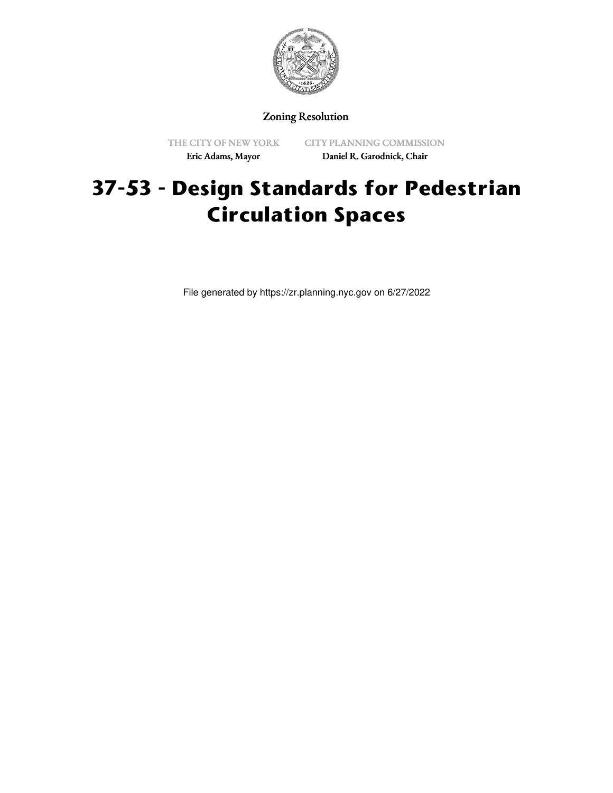

# Zoning Resolution

THE CITY OF NEW YORK Eric Adams, Mayor

CITY PLANNING COMMISSION Daniel R. Garodnick, Chair

# **37-53 - Design Standards for Pedestrian Circulation Spaces**

File generated by https://zr.planning.nyc.gov on 6/27/2022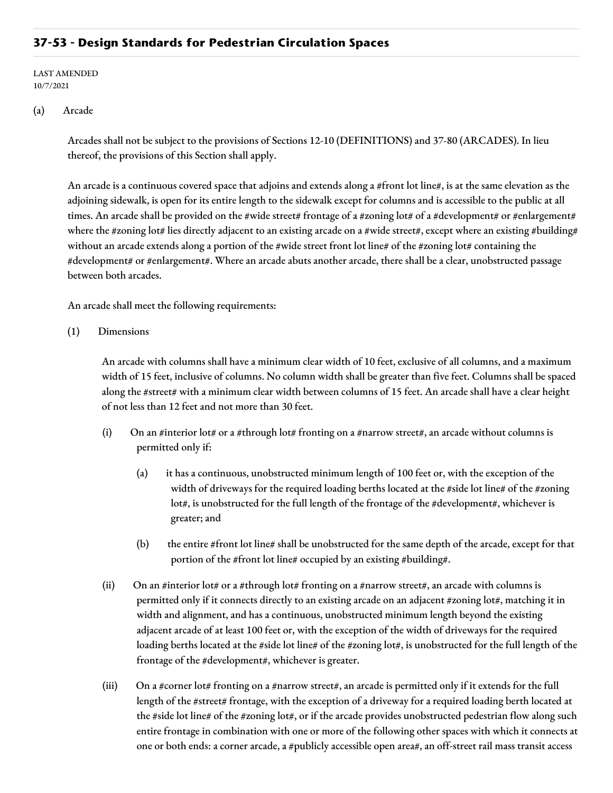# **37-53 - Design Standards for Pedestrian Circulation Spaces**

LAST AMENDED 10/7/2021

#### (a) Arcade

Arcades shall not be subject to the provisions of Sections 12-10 (DEFINITIONS) and 37-80 (ARCADES). In lieu thereof, the provisions of this Section shall apply.

An arcade is a continuous covered space that adjoins and extends along a #front lot line#, is at the same elevation as the adjoining sidewalk, is open for its entire length to the sidewalk except for columns and is accessible to the public at all times. An arcade shall be provided on the #wide street# frontage of a #zoning lot# of a #development# or #enlargement# where the #zoning lot# lies directly adjacent to an existing arcade on a #wide street#, except where an existing #building# without an arcade extends along a portion of the #wide street front lot line# of the #zoning lot# containing the #development# or #enlargement#. Where an arcade abuts another arcade, there shall be a clear, unobstructed passage between both arcades.

An arcade shall meet the following requirements:

(1) Dimensions

An arcade with columns shall have a minimum clear width of 10 feet, exclusive of all columns, and a maximum width of 15 feet, inclusive of columns. No column width shall be greater than five feet. Columns shall be spaced along the #street# with a minimum clear width between columns of 15 feet. An arcade shall have a clear height of not less than 12 feet and not more than 30 feet.

- (i) On an #interior lot# or a #through lot# fronting on a #narrow street#, an arcade without columns is permitted only if:
	- (a) it has a continuous, unobstructed minimum length of 100 feet or, with the exception of the width of driveways for the required loading berths located at the #side lot line# of the #zoning lot#, is unobstructed for the full length of the frontage of the #development#, whichever is greater; and
	- (b) the entire #front lot line# shall be unobstructed for the same depth of the arcade, except for that portion of the #front lot line# occupied by an existing #building#.
- (ii) On an #interior lot# or a #through lot# fronting on a #narrow street#, an arcade with columns is permitted only if it connects directly to an existing arcade on an adjacent #zoning lot#, matching it in width and alignment, and has a continuous, unobstructed minimum length beyond the existing adjacent arcade of at least 100 feet or, with the exception of the width of driveways for the required loading berths located at the #side lot line# of the #zoning lot#, is unobstructed for the full length of the frontage of the #development#, whichever is greater.
- (iii) On a #corner lot# fronting on a #narrow street#, an arcade is permitted only if it extends for the full length of the #street# frontage, with the exception of a driveway for a required loading berth located at the #side lot line# of the #zoning lot#, or if the arcade provides unobstructed pedestrian flow along such entire frontage in combination with one or more of the following other spaces with which it connects at one or both ends: a corner arcade, a #publicly accessible open area#, an off-street rail mass transit access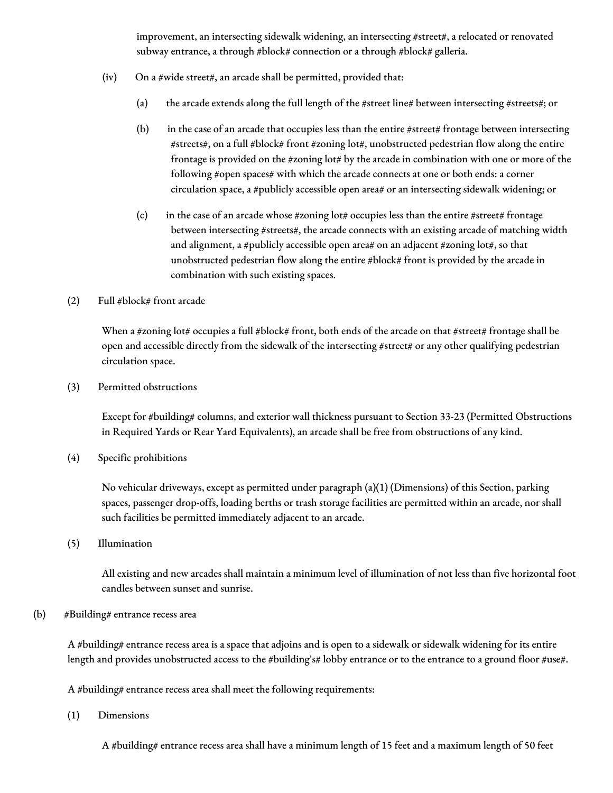improvement, an intersecting sidewalk widening, an intersecting #street#, a relocated or renovated subway entrance, a through #block# connection or a through #block# galleria.

- $(iv)$  On a #wide street#, an arcade shall be permitted, provided that:
	- (a) the arcade extends along the full length of the #street line# between intersecting #streets#; or
	- (b) in the case of an arcade that occupies less than the entire  $#$  street  $\#$  frontage between intersecting#streets#, on a full #block# front #zoning lot#, unobstructed pedestrian flow along the entire frontage is provided on the #zoning lot# by the arcade in combination with one or more of the following #open spaces# with which the arcade connects at one or both ends: a corner circulation space, a #publicly accessible open area# or an intersecting sidewalk widening; or
	- (c) in the case of an arcade whose #zoning lot# occupies less than the entire #street# frontage between intersecting #streets#, the arcade connects with an existing arcade of matching width and alignment, a #publicly accessible open area# on an adjacent #zoning lot#, so that unobstructed pedestrian flow along the entire #block# front is provided by the arcade in combination with such existing spaces.
- (2) Full #block# front arcade

When a #zoning lot# occupies a full #block# front, both ends of the arcade on that #street# frontage shall be open and accessible directly from the sidewalk of the intersecting #street# or any other qualifying pedestrian circulation space.

(3) Permitted obstructions

Except for #building# columns, and exterior wall thickness pursuant to Section 33-23 (Permitted Obstructions in Required Yards or Rear Yard Equivalents), an arcade shall be free from obstructions of any kind.

(4) Specific prohibitions

No vehicular driveways, except as permitted under paragraph (a)(1) (Dimensions) of this Section, parking spaces, passenger drop-offs, loading berths or trash storage facilities are permitted within an arcade, nor shall such facilities be permitted immediately adjacent to an arcade.

(5) Illumination

All existing and new arcades shall maintain a minimum level of illumination of not less than five horizontal foot candles between sunset and sunrise.

#### (b) #Building# entrance recess area

A #building# entrance recess area is a space that adjoins and is open to a sidewalk or sidewalk widening for its entire length and provides unobstructed access to the #building's# lobby entrance or to the entrance to a ground floor #use#.

A #building# entrance recess area shall meet the following requirements:

(1) Dimensions

A #building# entrance recess area shall have a minimum length of 15 feet and a maximum length of 50 feet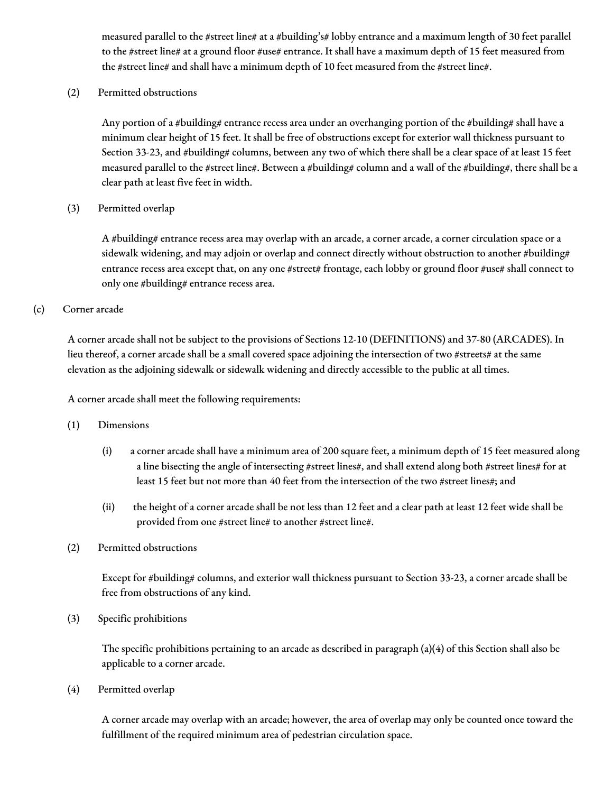measured parallel to the #street line# at a #building's# lobby entrance and a maximum length of 30 feet parallel to the #street line# at a ground floor #use# entrance. It shall have a maximum depth of 15 feet measured from the #street line# and shall have a minimum depth of 10 feet measured from the #street line#.

(2) Permitted obstructions

Any portion of a #building# entrance recess area under an overhanging portion of the #building# shall have a minimum clear height of 15 feet. It shall be free of obstructions except for exterior wall thickness pursuant to Section 33-23, and #building# columns, between any two of which there shall be a clear space of at least 15 feet measured parallel to the #street line#. Between a #building# column and a wall of the #building#, there shall be a clear path at least five feet in width.

(3) Permitted overlap

A #building# entrance recess area may overlap with an arcade, a corner arcade, a corner circulation space or a sidewalk widening, and may adjoin or overlap and connect directly without obstruction to another #building# entrance recess area except that, on any one #street# frontage, each lobby or ground floor #use# shall connect to only one #building# entrance recess area.

(c) Corner arcade

A corner arcade shall not be subject to the provisions of Sections 12-10 (DEFINITIONS) and 37-80 (ARCADES). In lieu thereof, a corner arcade shall be a small covered space adjoining the intersection of two #streets# at the same elevation as the adjoining sidewalk or sidewalk widening and directly accessible to the public at all times.

A corner arcade shall meet the following requirements:

- (1) Dimensions
	- (i) a corner arcade shall have a minimum area of 200 square feet, a minimum depth of 15 feet measured along a line bisecting the angle of intersecting #street lines#, and shall extend along both #street lines# for at least 15 feet but not more than 40 feet from the intersection of the two #street lines#; and
	- (ii) the height of a corner arcade shall be not less than 12 feet and a clear path at least 12 feet wide shall be provided from one #street line# to another #street line#.
- (2) Permitted obstructions

Except for #building# columns, and exterior wall thickness pursuant to Section 33-23, a corner arcade shall be free from obstructions of any kind.

(3) Specific prohibitions

The specific prohibitions pertaining to an arcade as described in paragraph (a)(4) of this Section shall also be applicable to a corner arcade.

(4) Permitted overlap

A corner arcade may overlap with an arcade; however, the area of overlap may only be counted once toward the fulfillment of the required minimum area of pedestrian circulation space.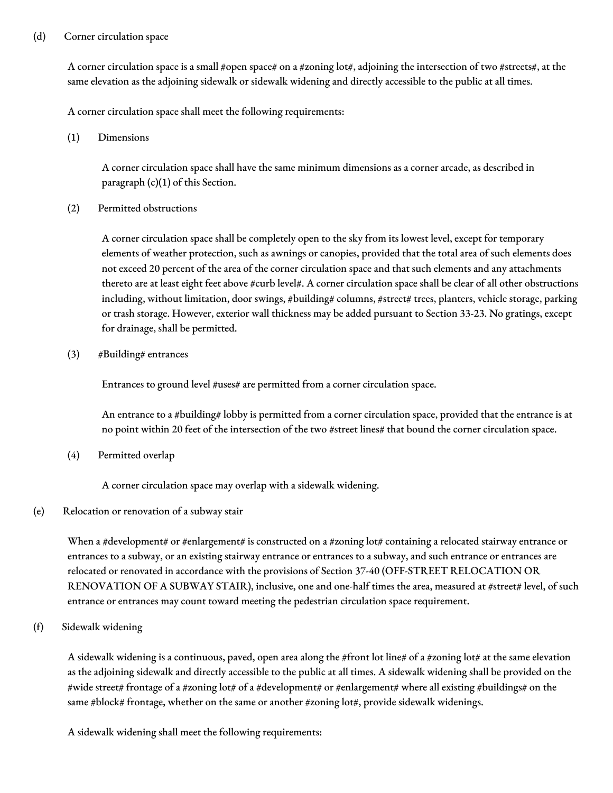## (d) Corner circulation space

A corner circulation space is a small #open space# on a #zoning lot#, adjoining the intersection of two #streets#, at the same elevation as the adjoining sidewalk or sidewalk widening and directly accessible to the public at all times.

A corner circulation space shall meet the following requirements:

(1) Dimensions

A corner circulation space shall have the same minimum dimensions as a corner arcade, as described in paragraph (c)(1) of this Section.

(2) Permitted obstructions

A corner circulation space shall be completely open to the sky from its lowest level, except for temporary elements of weather protection, such as awnings or canopies, provided that the total area of such elements does not exceed 20 percent of the area of the corner circulation space and that such elements and any attachments thereto are at least eight feet above #curb level#. A corner circulation space shall be clear of all other obstructions including, without limitation, door swings, #building# columns, #street# trees, planters, vehicle storage, parking or trash storage. However, exterior wall thickness may be added pursuant to Section 33-23. No gratings, except for drainage, shall be permitted.

(3) #Building# entrances

Entrances to ground level #uses# are permitted from a corner circulation space.

An entrance to a #building# lobby is permitted from a corner circulation space, provided that the entrance is at no point within 20 feet of the intersection of the two #street lines# that bound the corner circulation space.

(4) Permitted overlap

A corner circulation space may overlap with a sidewalk widening.

#### (e) Relocation or renovation of a subway stair

When a #development# or #enlargement# is constructed on a #zoning lot# containing a relocated stairway entrance or entrances to a subway, or an existing stairway entrance or entrances to a subway, and such entrance or entrances are relocated or renovated in accordance with the provisions of Section 37-40 (OFF-STREET RELOCATION OR RENOVATION OF A SUBWAY STAIR), inclusive, one and one-half times the area, measured at #street# level, of such entrance or entrances may count toward meeting the pedestrian circulation space requirement.

(f) Sidewalk widening

A sidewalk widening is a continuous, paved, open area along the #front lot line# of a #zoning lot# at the same elevation as the adjoining sidewalk and directly accessible to the public at all times. A sidewalk widening shall be provided on the #wide street# frontage of a #zoning lot# of a #development# or #enlargement# where all existing #buildings# on the same #block# frontage, whether on the same or another #zoning lot#, provide sidewalk widenings.

A sidewalk widening shall meet the following requirements: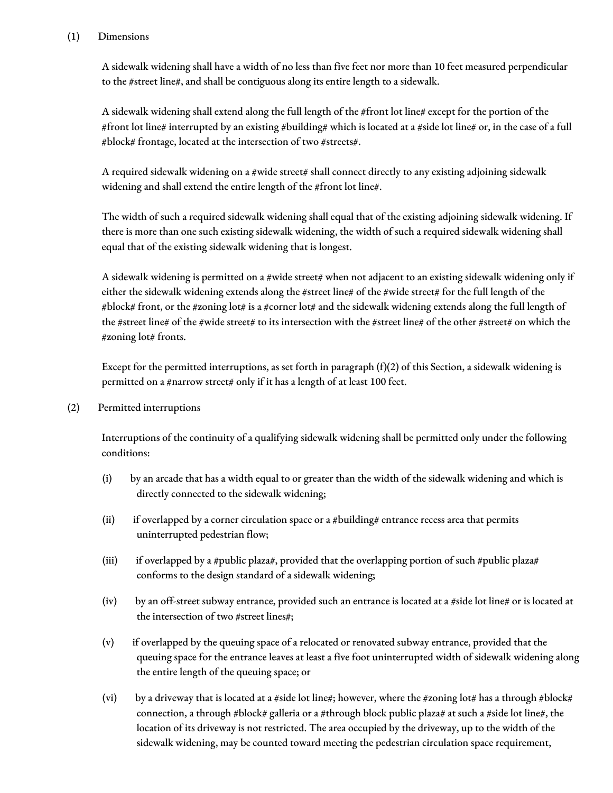## (1) Dimensions

A sidewalk widening shall have a width of no less than five feet nor more than 10 feet measured perpendicular to the #street line#, and shall be contiguous along its entire length to a sidewalk.

A sidewalk widening shall extend along the full length of the #front lot line# except for the portion of the #front lot line# interrupted by an existing #building# which is located at a #side lot line# or, in the case of a full #block# frontage, located at the intersection of two #streets#.

A required sidewalk widening on a #wide street# shall connect directly to any existing adjoining sidewalk widening and shall extend the entire length of the #front lot line#.

The width of such a required sidewalk widening shall equal that of the existing adjoining sidewalk widening. If there is more than one such existing sidewalk widening, the width of such a required sidewalk widening shall equal that of the existing sidewalk widening that is longest.

A sidewalk widening is permitted on a #wide street# when not adjacent to an existing sidewalk widening only if either the sidewalk widening extends along the #street line# of the #wide street# for the full length of the #block# front, or the #zoning lot# is a #corner lot# and the sidewalk widening extends along the full length of the #street line# of the #wide street# to its intersection with the #street line# of the other #street# on which the #zoning lot# fronts.

Except for the permitted interruptions, as set forth in paragraph  $(f)(2)$  of this Section, a sidewalk widening is permitted on a #narrow street# only if it has a length of at least 100 feet.

(2) Permitted interruptions

Interruptions of the continuity of a qualifying sidewalk widening shall be permitted only under the following conditions:

- (i) by an arcade that has a width equal to or greater than the width of the sidewalk widening and which is directly connected to the sidewalk widening;
- (ii) if overlapped by a corner circulation space or a #building# entrance recess area that permits uninterrupted pedestrian flow;
- (iii) if overlapped by a #public plaza#, provided that the overlapping portion of such #public plaza# conforms to the design standard of a sidewalk widening;
- (iv) by an off-street subway entrance, provided such an entrance is located at a #side lot line# or is located at the intersection of two #street lines#;
- (v) if overlapped by the queuing space of a relocated or renovated subway entrance, provided that the queuing space for the entrance leaves at least a five foot uninterrupted width of sidewalk widening along the entire length of the queuing space; or
- (vi) by a driveway that is located at a #side lot line#; however, where the #zoning lot# has a through #block# connection, a through #block# galleria or a #through block public plaza# at such a #side lot line#, the location of its driveway is not restricted. The area occupied by the driveway, up to the width of the sidewalk widening, may be counted toward meeting the pedestrian circulation space requirement,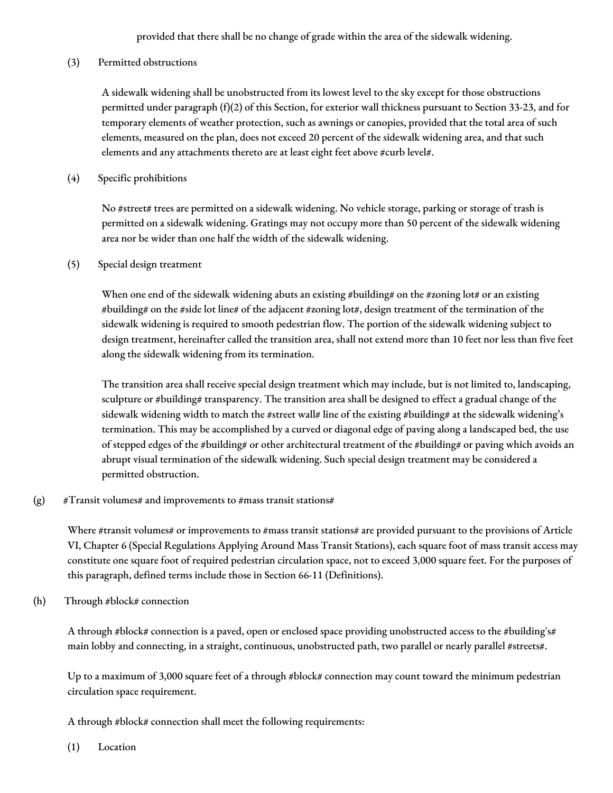provided that there shall be no change of grade within the area of the sidewalk widening.

(3) Permitted obstructions

A sidewalk widening shall be unobstructed from its lowest level to the sky except for those obstructions permitted under paragraph (f)(2) of this Section, for exterior wall thickness pursuant to Section 33-23, and for temporary elements of weather protection, such as awnings or canopies, provided that the total area of such elements, measured on the plan, does not exceed 20 percent of the sidewalk widening area, and that such elements and any attachments thereto are at least eight feet above #curb level#.

(4) Specific prohibitions

No #street# trees are permitted on a sidewalk widening. No vehicle storage, parking or storage of trash is permitted on a sidewalk widening. Gratings may not occupy more than 50 percent of the sidewalk widening area nor be wider than one half the width of the sidewalk widening.

(5) Special design treatment

When one end of the sidewalk widening abuts an existing #building# on the #zoning lot# or an existing #building# on the #side lot line# of the adjacent #zoning lot#, design treatment of the termination of the sidewalk widening is required to smooth pedestrian flow. The portion of the sidewalk widening subject to design treatment, hereinafter called the transition area, shall not extend more than 10 feet nor less than five feet along the sidewalk widening from its termination.

The transition area shall receive special design treatment which may include, but is not limited to, landscaping, sculpture or #building# transparency. The transition area shall be designed to effect a gradual change of the sidewalk widening width to match the #street wall# line of the existing #building# at the sidewalk widening's termination. This may be accomplished by a curved or diagonal edge of paving along a landscaped bed, the use of stepped edges of the #building# or other architectural treatment of the #building# or paving which avoids an abrupt visual termination of the sidewalk widening. Such special design treatment may be considered a permitted obstruction.

(g)  $#Transit$  volumes# and improvements to #mass transit stations#

Where #transit volumes# or improvements to #mass transit stations# are provided pursuant to the provisions of Article VI, Chapter 6 (Special Regulations Applying Around Mass Transit Stations), each square foot of mass transit access may constitute one square foot of required pedestrian circulation space, not to exceed 3,000 square feet. For the purposes of this paragraph, defined terms include those in Section 66-11 (Definitions).

(h) Through #block# connection

A through #block# connection is a paved, open or enclosed space providing unobstructed access to the #building's# main lobby and connecting, in a straight, continuous, unobstructed path, two parallel or nearly parallel #streets#.

Up to a maximum of 3,000 square feet of a through #block# connection may count toward the minimum pedestrian circulation space requirement.

A through #block# connection shall meet the following requirements:

(1) Location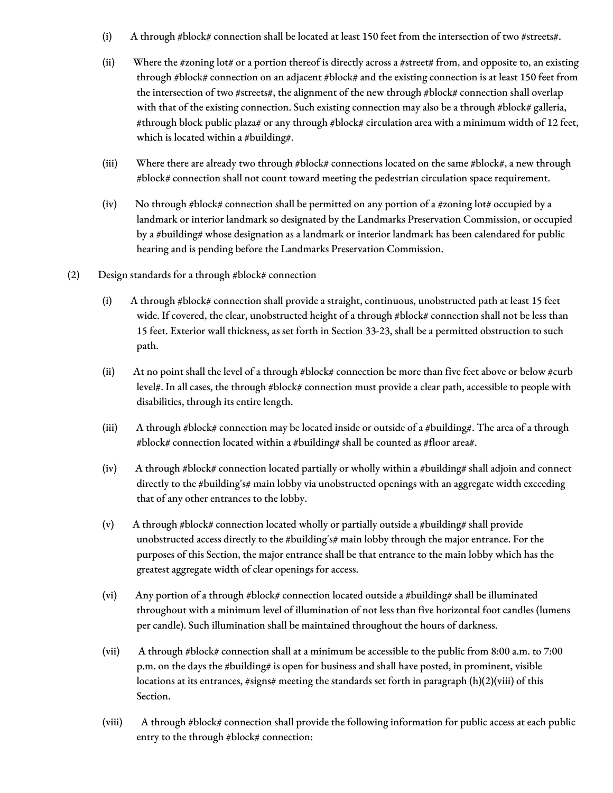- (i) A through #block# connection shall be located at least 150 feet from the intersection of two #streets#.
- (ii) Where the #zoning lot# or a portion thereof is directly across a #street# from, and opposite to, an existing through #block# connection on an adjacent #block# and the existing connection is at least 150 feet from the intersection of two #streets#, the alignment of the new through #block# connection shall overlap with that of the existing connection. Such existing connection may also be a through #block# galleria, #through block public plaza# or any through #block# circulation area with a minimum width of 12 feet, which is located within a #building#.
- (iii) Where there are already two through #block# connections located on the same #block#, a new through #block# connection shall not count toward meeting the pedestrian circulation space requirement.
- (iv) No through #block# connection shall be permitted on any portion of a #zoning lot# occupied by a landmark or interior landmark so designated by the Landmarks Preservation Commission, or occupied by a #building# whose designation as a landmark or interior landmark has been calendared for public hearing and is pending before the Landmarks Preservation Commission.
- (2) Design standards for a through #block# connection
	- (i) A through #block# connection shall provide a straight, continuous, unobstructed path at least 15 feet wide. If covered, the clear, unobstructed height of a through #block# connection shall not be less than 15 feet. Exterior wall thickness, as set forth in Section 33-23, shall be a permitted obstruction to such path.
	- (ii) At no point shall the level of a through #block# connection be more than five feet above or below #curb level#. In all cases, the through #block# connection must provide a clear path, accessible to people with disabilities, through its entire length.
	- (iii) A through #block# connection may be located inside or outside of a #building#. The area of a through #block# connection located within a #building# shall be counted as #floor area#.
	- (iv) A through #block# connection located partially or wholly within a #building# shall adjoin and connect directly to the #building's# main lobby via unobstructed openings with an aggregate width exceeding that of any other entrances to the lobby.
	- (v) A through #block# connection located wholly or partially outside a #building# shall provide unobstructed access directly to the #building's# main lobby through the major entrance. For the purposes of this Section, the major entrance shall be that entrance to the main lobby which has the greatest aggregate width of clear openings for access.
	- (vi) Any portion of a through #block# connection located outside a #building# shall be illuminated throughout with a minimum level of illumination of not less than five horizontal foot candles (lumens per candle). Such illumination shall be maintained throughout the hours of darkness.
	- (vii) A through #block# connection shall at a minimum be accessible to the public from 8:00 a.m. to 7:00 p.m. on the days the #building# is open for business and shall have posted, in prominent, visible locations at its entrances, #signs# meeting the standards set forth in paragraph (h)(2)(viii) of this Section.
	- (viii) A through #block# connection shall provide the following information for public access at each public entry to the through #block# connection: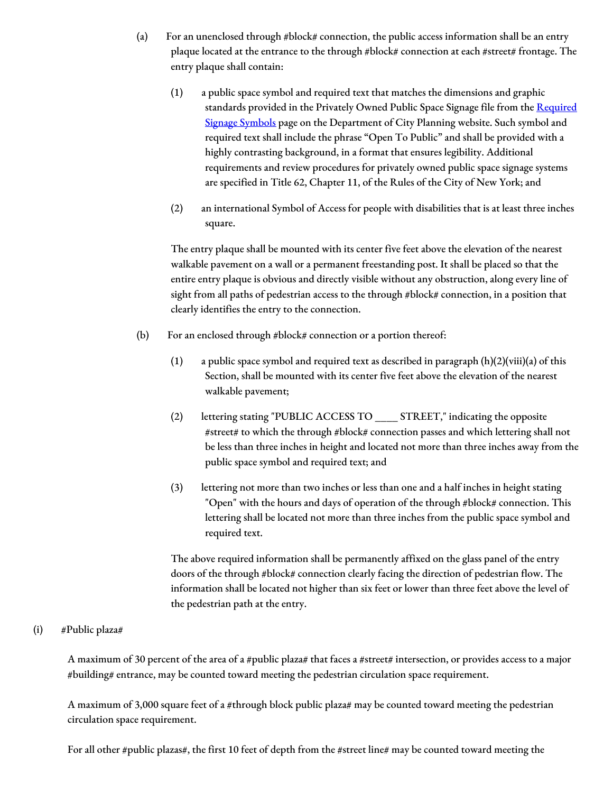- (a) For an unenclosed through #block# connection, the public access information shall be an entry plaque located at the entrance to the through #block# connection at each #street# frontage. The entry plaque shall contain:
	- (1) a public space symbol and required text that matches the dimensions and graphic standards provided in the Privately Owned Public Space Signage file from the Required Signage Symbols page on the [Department](http://www1.nyc.gov/site/planning/zoning/graphic-files.page) of City Planning website. Such symbol and required text shall include the phrase "Open To Public" and shall be provided with a highly contrasting background, in a format that ensures legibility. Additional requirements and review procedures for privately owned public space signage systems are specified in Title 62, Chapter 11, of the Rules of the City of New York; and
	- (2) an international Symbol of Access for people with disabilities that is at least three inches square.

The entry plaque shall be mounted with its center five feet above the elevation of the nearest walkable pavement on a wall or a permanent freestanding post. It shall be placed so that the entire entry plaque is obvious and directly visible without any obstruction, along every line of sight from all paths of pedestrian access to the through #block# connection, in a position that clearly identifies the entry to the connection.

- (b) For an enclosed through #block# connection or a portion thereof:
	- (1) a public space symbol and required text as described in paragraph  $(h)(2)(viii)(a)$  of this Section, shall be mounted with its center five feet above the elevation of the nearest walkable pavement;
	- (2) lettering stating "PUBLIC ACCESS TO \_\_\_\_ STREET," indicating the opposite #street# to which the through #block# connection passes and which lettering shall not be less than three inches in height and located not more than three inches away from the public space symbol and required text; and
	- (3) lettering not more than two inches or less than one and a half inches in height stating "Open" with the hours and days of operation of the through #block# connection. This lettering shall be located not more than three inches from the public space symbol and required text.

The above required information shall be permanently affixed on the glass panel of the entry doors of the through #block# connection clearly facing the direction of pedestrian flow. The information shall be located not higher than six feet or lower than three feet above the level of the pedestrian path at the entry.

## (i) #Public plaza#

A maximum of 30 percent of the area of a #public plaza# that faces a #street# intersection, or provides access to a major #building# entrance, may be counted toward meeting the pedestrian circulation space requirement.

A maximum of 3,000 square feet of a #through block public plaza# may be counted toward meeting the pedestrian circulation space requirement.

For all other #public plazas#, the first 10 feet of depth from the #street line# may be counted toward meeting the